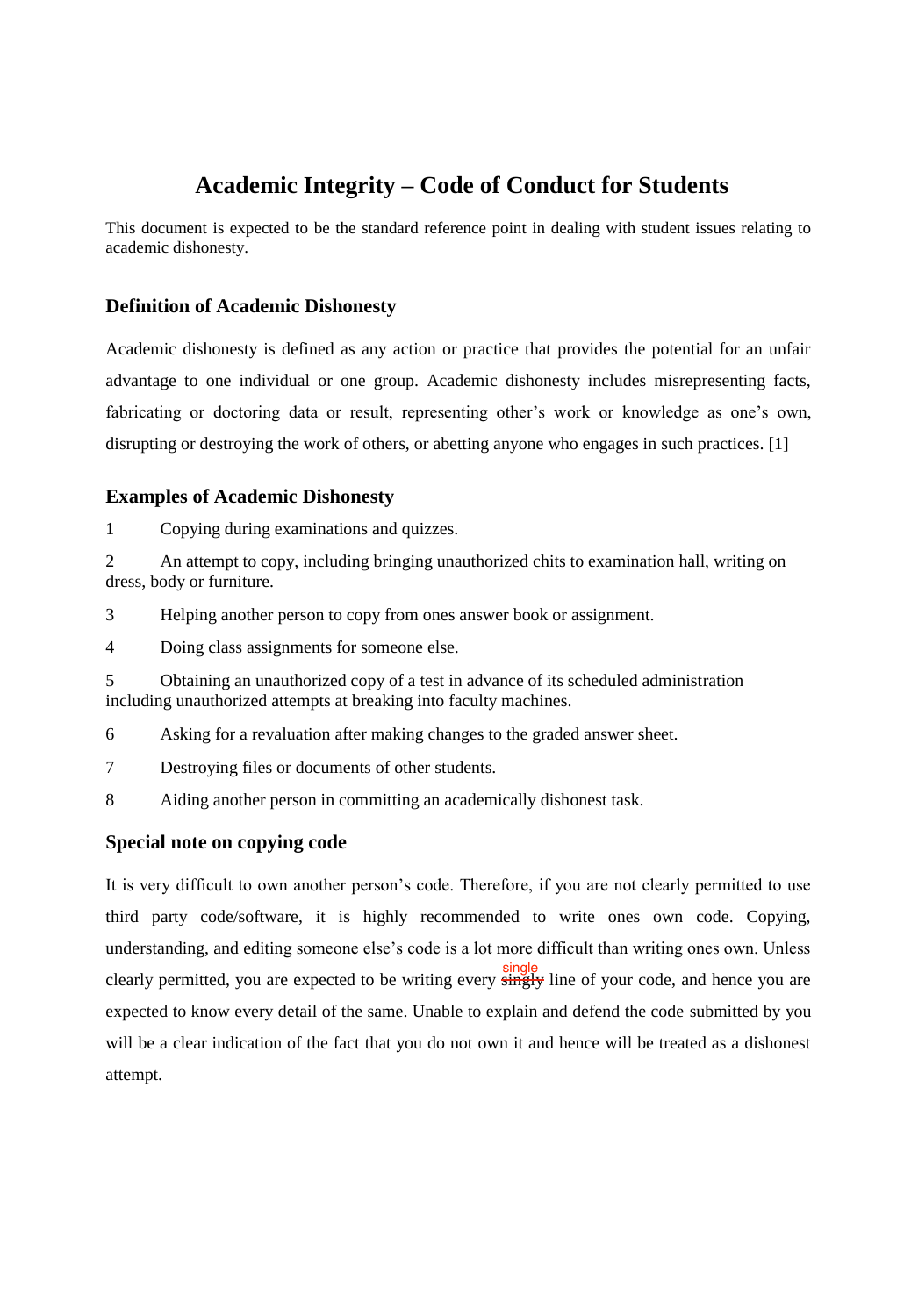# **Academic Integrity – Code of Conduct for Students**

This document is expected to be the standard reference point in dealing with student issues relating to academic dishonesty.

### **Definition of Academic Dishonesty**

Academic dishonesty is defined as any action or practice that provides the potential for an unfair advantage to one individual or one group. Academic dishonesty includes misrepresenting facts, fabricating or doctoring data or result, representing other's work or knowledge as one's own, disrupting or destroying the work of others, or abetting anyone who engages in such practices. [1]

## **Examples of Academic Dishonesty**

1 Copying during examinations and quizzes.

2 An attempt to copy, including bringing unauthorized chits to examination hall, writing on dress, body or furniture.

3 Helping another person to copy from ones answer book or assignment.

4 Doing class assignments for someone else.

5 Obtaining an unauthorized copy of a test in advance of its scheduled administration including unauthorized attempts at breaking into faculty machines.

6 Asking for a revaluation after making changes to the graded answer sheet.

7 Destroying files or documents of other students.

8 Aiding another person in committing an academically dishonest task.

### **Special note on copying code**

It is very difficult to own another person's code. Therefore, if you are not clearly permitted to use third party code/software, it is highly recommended to write ones own code. Copying, understanding, and editing someone else's code is a lot more difficult than writing ones own. Unless clearly permitted, you are expected to be writing every **single** line of your code, and hence you are expected to know every detail of the same. Unable to explain and defend the code submitted by you will be a clear indication of the fact that you do not own it and hence will be treated as a dishonest attempt.